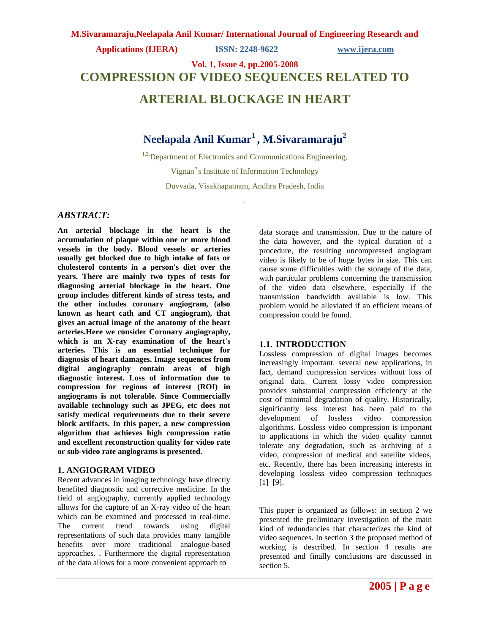# **Applications (IJERA) ISSN: 2248-9622 www.ijera.com**

# **Vol. 1, Issue 4, pp.2005-2008 COMPRESSION OF VIDEO SEQUENCES RELATED TO ARTERIAL BLOCKAGE IN HEART**

# **Neelapala Anil Kumar<sup>1</sup> , M.Sivaramaraju<sup>2</sup>**

<sup>1,2,</sup>Department of Electronics and Communications Engineering, Vignan"s Institute of Information Technology Duvvada, Visakhapatnam, Andhra Pradesh, India

.

# *ABSTRACT:*

**An arterial blockage in the heart is the accumulation of plaque within one or more blood vessels in the body. Blood vessels or arteries usually get blocked due to high intake of fats or cholesterol contents in a person's diet over the years. There are mainly two types of tests for diagnosing arterial blockage in the heart. One group includes different kinds of stress tests, and the other includes coronary angiogram, (also known as heart cath and CT angiogram), that gives an actual image of the anatomy of the heart arteries.Here we consider Coronary angiography, which is an X-ray examination of the heart's arteries. This is an essential technique for diagnosis of heart damages. Image sequences from digital angiography contain areas of high diagnostic interest. Loss of information due to compression for regions of interest (ROI) in angiograms is not tolerable. Since Commercially available technology such as JPEG, etc does not satisfy medical requirements due to their severe block artifacts. In this paper, a new compression algorithm that achieves high compression ratio and excellent reconstruction quality for video rate or sub-video rate angiograms is presented.** 

## **1. ANGIOGRAM VIDEO**

Recent advances in imaging technology have directly benefited diagnostic and corrective medicine. In the field of angiography, currently applied technology allows for the capture of an X-ray video of the heart which can be examined and processed in real-time. The current trend towards using digital representations of such data provides many tangible benefits over more traditional analogue-based approaches. . Furthermore the digital representation of the data allows for a more convenient approach to

data storage and transmission. Due to the nature of the data however, and the typical duration of a procedure, the resulting uncompressed angiogram video is likely to be of huge bytes in size. This can cause some difficulties with the storage of the data, with particular problems concerning the transmission of the video data elsewhere, especially if the transmission bandwidth available is low. This problem would be alleviated if an efficient means of compression could be found.

# **1.1. INTRODUCTION**

Lossless compression of digital images becomes increasingly important. several new applications, in fact, demand compression services without loss of original data. Current lossy video compression provides substantial compression efficiency at the cost of minimal degradation of quality. Historically, significantly less interest has been paid to the development of lossless video compression algorithms. Lossless video compression is important to applications in which the video quality cannot tolerate any degradation, such as archiving of a video, compression of medical and satellite videos, etc. Recently, there has been increasing interests in developing lossless video compression techniques [1]–[9].

This paper is organized as follows: in section 2 we presented the preliminary investigation of the main kind of redundancies that characterizes the kind of video sequences. In section 3 the proposed method of working is described. In section 4 results are presented and finally conclusions are discussed in section 5.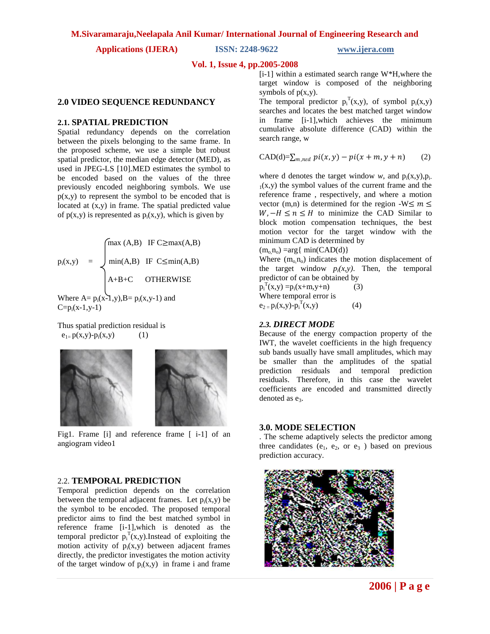**Applications (IJERA) ISSN: 2248-9622 www.ijera.com**

#### **Vol. 1, Issue 4, pp.2005-2008**

#### **2.0 VIDEO SEQUENCE REDUNDANCY**

#### **2.1. SPATIAL PREDICTION**

Spatial redundancy depends on the correlation between the pixels belonging to the same frame. In the proposed scheme, we use a simple but robust spatial predictor, the median edge detector (MED), as used in JPEG-LS [10].MED estimates the symbol to be encoded based on the values of the three previously encoded neighboring symbols. We use  $p(x,y)$  to represent the symbol to be encoded that is located at (x,y) in frame. The spatial predicted value of  $p(x,y)$  is represented as  $p_i(x,y)$ , which is given by

$$
p_i(x,y) = \begin{cases} \max (A,B) & \text{IF } C \geq \max(A,B) \\ \min(A,B) & \text{IF } C \leq \min(A,B) \\ A+B+C & \text{OTHERWISE} \end{cases}
$$

Where  $A = p_i(x-1,y), B = p_i(x,y-1)$  and  $C=p_i(x-1,y-1)$ 

Thus spatial prediction residual is  $e_{1} = p(x,y) - p_i(x,y)$  (1)



Fig1. Frame [i] and reference frame [ i-1] of an angiogram video1

# 2.2. **TEMPORAL PREDICTION**

Temporal prediction depends on the correlation between the temporal adjacent frames. Let  $p_i(x,y)$  be the symbol to be encoded. The proposed temporal predictor aims to find the best matched symbol in reference frame [i-1],which is denoted as the temporal predictor  $p_i^T(x,y)$ . Instead of exploiting the motion activity of  $p_i(x,y)$  between adjacent frames directly, the predictor investigates the motion activity of the target window of  $p_i(x,y)$  in frame i and frame

[i-1] within a estimated search range W\*H,where the target window is composed of the neighboring symbols of  $p(x,y)$ .

The temporal predictor  $p_i^T(x,y)$ , of symbol  $p_i(x,y)$ searches and locates the best matched target window in frame [i-1],which achieves the minimum cumulative absolute difference (CAD) within the search range, w

$$
CAD(d) = \sum_{m, n \in d} pi(x, y) - pi(x + m, y + n) \tag{2}
$$

where d denotes the target window *w*, and  $p_i(x,y), p_i$ .  $_1(x,y)$  the symbol values of the current frame and the reference frame , respectively, and where a motion vector (m,n) is determined for the region  $-W \le m \le$  $W, -H \le n \le H$  to minimize the CAD Similar to block motion compensation techniques, the best motion vector for the target window with the minimum CAD is determined by

 $(m_0, n_0)$  =arg{ min(CAD(d)}

Where  $(m_0, n_0)$  indicates the motion displacement of the target window  $p_i(x, y)$ . Then, the temporal predictor of can be obtained by

 $p_i^T(x,y) = p_i(x+m,y+n)$  (3) Where temporal error is  $e_{2} = p_i(x,y) - p_i^{T}(x,y)$  (4)

#### *2.3. DIRECT MODE*

Because of the energy compaction property of the IWT, the wavelet coefficients in the high frequency sub bands usually have small amplitudes, which may be smaller than the amplitudes of the spatial prediction residuals and temporal prediction residuals. Therefore, in this case the wavelet coefficients are encoded and transmitted directly denoted as  $e_3$ .

# **3.0. MODE SELECTION**

. The scheme adaptively selects the predictor among three candidates ( $e_1$ ,  $e_2$ , or  $e_3$ ) based on previous prediction accuracy.

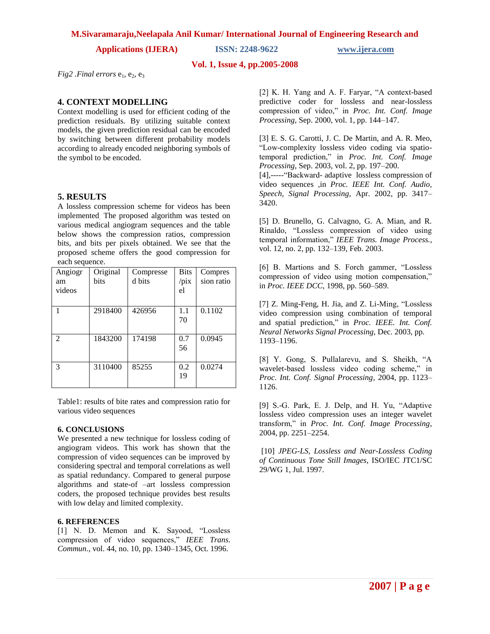## **M.Sivaramaraju,Neelapala Anil Kumar/ International Journal of Engineering Research and**

**Applications (IJERA) ISSN: 2248-9622 www.ijera.com**

# **Vol. 1, Issue 4, pp.2005-2008**

 $Fig2$  *.Final errors*  $e_1$ ,  $e_2$ ,  $e_3$ 

# **4. CONTEXT MODELLING**

Context modelling is used for efficient coding of the prediction residuals. By utilizing suitable context models, the given prediction residual can be encoded by switching between different probability models according to already encoded neighboring symbols of the symbol to be encoded.

# **5. RESULTS**

A lossless compression scheme for videos has been implemented. The proposed algorithm was tested on various medical angiogram sequences and the table below shows the compression ratios, compression bits, and bits per pixels obtained. We see that the proposed scheme offers the good compression for each sequence.

| Angiogr<br>am<br>videos | Original<br>bits | Compresse<br>d bits | <b>Bits</b><br>$\pi$<br>el | Compres<br>sion ratio |
|-------------------------|------------------|---------------------|----------------------------|-----------------------|
|                         | 2918400          | 426956              | 1.1<br>70                  | 0.1102                |
| $\mathfrak{D}$          | 1843200          | 174198              | 0.7<br>56                  | 0.0945                |
| $\mathcal{R}$           | 3110400          | 85255               | 0.2<br>19                  | 0.0274                |

Table1: results of bite rates and compression ratio for various video sequences

## **6. CONCLUSIONS**

We presented a new technique for lossless coding of angiogram videos. This work has shown that the compression of video sequences can be improved by considering spectral and temporal correlations as well as spatial redundancy. Compared to general purpose algorithms and state-of –art lossless compression coders, the proposed technique provides best results with low delay and limited complexity.

## **6. REFERENCES**

[1] N. D. Memon and K. Sayood, "Lossless compression of video sequences," *IEEE Trans. Commun.*, vol. 44, no. 10, pp. 1340–1345, Oct. 1996.

[2] K. H. Yang and A. F. Faryar, "A context-based predictive coder for lossless and near-lossless compression of video," in *Proc. Int. Conf. Image Processing*, Sep. 2000, vol. 1, pp. 144–147.

[3] E. S. G. Carotti, J. C. De Martin, and A. R. Meo, "Low-complexity lossless video coding via spatiotemporal prediction," in *Proc. Int. Conf. Image Processing*, Sep. 2003, vol. 2, pp. 197–200.

[4],-----"Backward- adaptive lossless compression of video sequences ,in *Proc. IEEE Int. Conf. Audio, Speech, Signal Processing*, Apr. 2002, pp. 3417– 3420.

[5] D. Brunello, G. Calvagno, G. A. Mian, and R. Rinaldo, "Lossless compression of video using temporal information," *IEEE Trans. Image Process.*, vol. 12, no. 2, pp. 132–139, Feb. 2003.

[6] B. Martions and S. Forch gammer, "Lossless compression of video using motion compensation," in *Proc. IEEE DCC*, 1998, pp. 560–589.

[7] Z. Ming-Feng, H. Jia, and Z. Li-Ming, "Lossless video compression using combination of temporal and spatial prediction," in *Proc. IEEE. Int. Conf. Neural Networks Signal Processing*, Dec. 2003, pp. 1193–1196.

[8] Y. Gong, S. Pullalarevu, and S. Sheikh, "A wavelet-based lossless video coding scheme," in *Proc. Int. Conf. Signal Processing*, 2004, pp. 1123– 1126.

[9] S.-G. Park, E. J. Delp, and H. Yu, "Adaptive lossless video compression uses an integer wavelet transform," in *Proc. Int. Conf. Image Processing*, 2004, pp. 2251–2254.

[10] *JPEG-LS, Lossless and Near-Lossless Coding of Continuous Tone Still Images*, ISO/IEC JTC1/SC 29/WG 1, Jul. 1997.